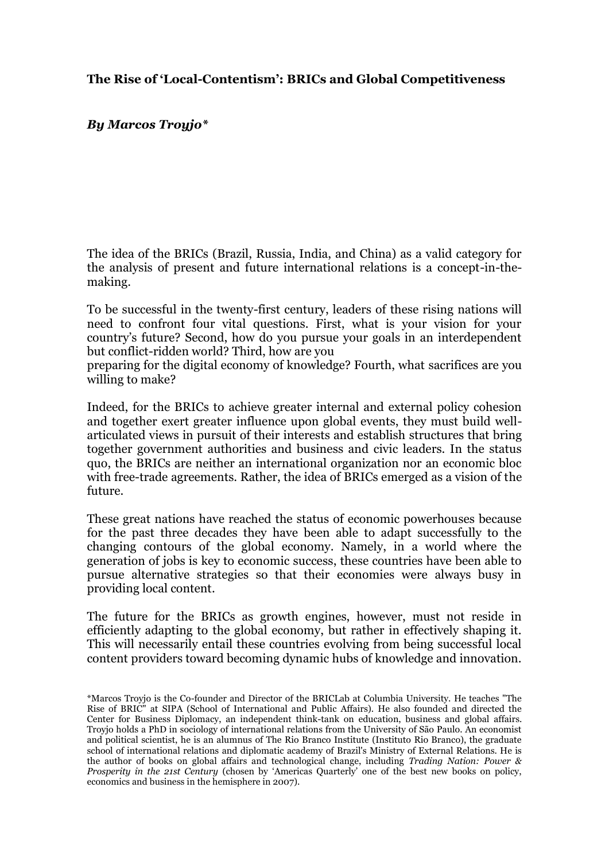# **The Rise of 'Local-Contentism': BRICs and Global Competitiveness**

## *By Marcos Troyjo\**

The idea of the BRICs (Brazil, Russia, India, and China) as a valid category for the analysis of present and future international relations is a concept-in-themaking.

To be successful in the twenty-first century, leaders of these rising nations will need to confront four vital questions. First, what is your vision for your country's future? Second, how do you pursue your goals in an interdependent but conflict-ridden world? Third, how are you

preparing for the digital economy of knowledge? Fourth, what sacrifices are you willing to make?

Indeed, for the BRICs to achieve greater internal and external policy cohesion and together exert greater influence upon global events, they must build wellarticulated views in pursuit of their interests and establish structures that bring together government authorities and business and civic leaders. In the status quo, the BRICs are neither an international organization nor an economic bloc with free-trade agreements. Rather, the idea of BRICs emerged as a vision of the future.

These great nations have reached the status of economic powerhouses because for the past three decades they have been able to adapt successfully to the changing contours of the global economy. Namely, in a world where the generation of jobs is key to economic success, these countries have been able to pursue alternative strategies so that their economies were always busy in providing local content.

The future for the BRICs as growth engines, however, must not reside in efficiently adapting to the global economy, but rather in effectively shaping it. This will necessarily entail these countries evolving from being successful local content providers toward becoming dynamic hubs of knowledge and innovation.

<sup>\*</sup>Marcos Troyjo is the Co-founder and Director of the BRICLab at Columbia University. He teaches "The Rise of BRIC" at SIPA (School of International and Public Affairs). He also founded and directed the Center for Business Diplomacy, an independent think-tank on education, business and global affairs. Troyjo holds a PhD in sociology of international relations from the University of São Paulo. An economist and political scientist, he is an alumnus of The Rio Branco Institute (Instituto Rio Branco), the graduate school of international relations and diplomatic academy of Brazil's Ministry of External Relations. He is the author of books on global affairs and technological change, including *Trading Nation: Power & Prosperity in the 21st Century* (chosen by 'Americas Quarterly' one of the best new books on policy, economics and business in the hemisphere in 2007).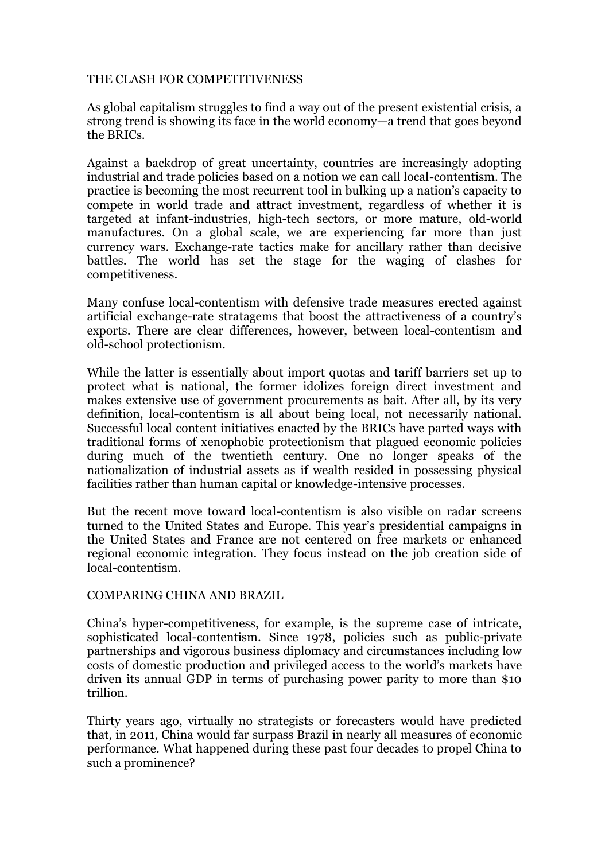## THE CLASH FOR COMPETITIVENESS

As global capitalism struggles to find a way out of the present existential crisis, a strong trend is showing its face in the world economy—a trend that goes beyond the BRICs.

Against a backdrop of great uncertainty, countries are increasingly adopting industrial and trade policies based on a notion we can call local-contentism. The practice is becoming the most recurrent tool in bulking up a nation's capacity to compete in world trade and attract investment, regardless of whether it is targeted at infant-industries, high-tech sectors, or more mature, old-world manufactures. On a global scale, we are experiencing far more than just currency wars. Exchange-rate tactics make for ancillary rather than decisive battles. The world has set the stage for the waging of clashes for competitiveness.

Many confuse local-contentism with defensive trade measures erected against artificial exchange-rate stratagems that boost the attractiveness of a country's exports. There are clear differences, however, between local-contentism and old-school protectionism.

While the latter is essentially about import quotas and tariff barriers set up to protect what is national, the former idolizes foreign direct investment and makes extensive use of government procurements as bait. After all, by its very definition, local-contentism is all about being local, not necessarily national. Successful local content initiatives enacted by the BRICs have parted ways with traditional forms of xenophobic protectionism that plagued economic policies during much of the twentieth century. One no longer speaks of the nationalization of industrial assets as if wealth resided in possessing physical facilities rather than human capital or knowledge-intensive processes.

But the recent move toward local-contentism is also visible on radar screens turned to the United States and Europe. This year's presidential campaigns in the United States and France are not centered on free markets or enhanced regional economic integration. They focus instead on the job creation side of local-contentism.

#### COMPARING CHINA AND BRAZIL

China's hyper-competitiveness, for example, is the supreme case of intricate, sophisticated local-contentism. Since 1978, policies such as public-private partnerships and vigorous business diplomacy and circumstances including low costs of domestic production and privileged access to the world's markets have driven its annual GDP in terms of purchasing power parity to more than \$10 trillion.

Thirty years ago, virtually no strategists or forecasters would have predicted that, in 2011, China would far surpass Brazil in nearly all measures of economic performance. What happened during these past four decades to propel China to such a prominence?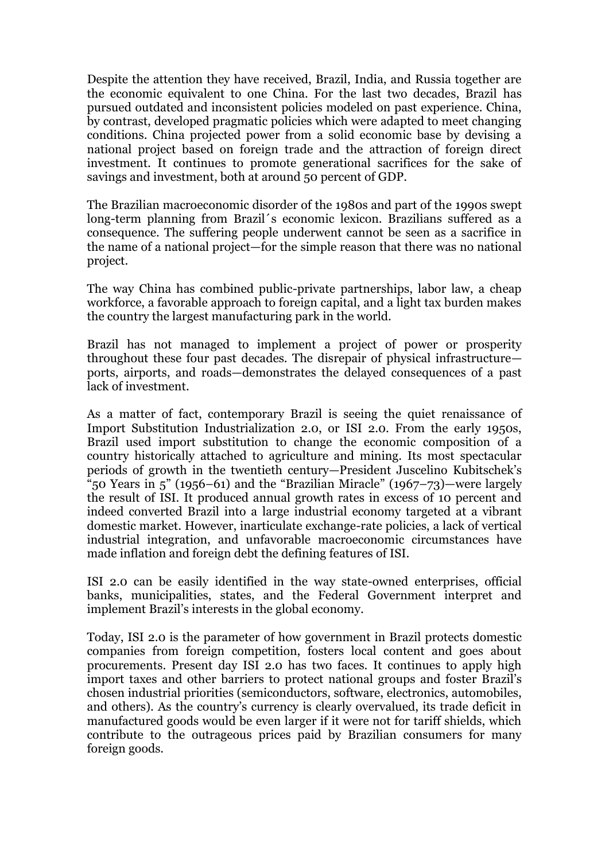Despite the attention they have received, Brazil, India, and Russia together are the economic equivalent to one China. For the last two decades, Brazil has pursued outdated and inconsistent policies modeled on past experience. China, by contrast, developed pragmatic policies which were adapted to meet changing conditions. China projected power from a solid economic base by devising a national project based on foreign trade and the attraction of foreign direct investment. It continues to promote generational sacrifices for the sake of savings and investment, both at around 50 percent of GDP.

The Brazilian macroeconomic disorder of the 1980s and part of the 1990s swept long-term planning from Brazil´s economic lexicon. Brazilians suffered as a consequence. The suffering people underwent cannot be seen as a sacrifice in the name of a national project—for the simple reason that there was no national project.

The way China has combined public-private partnerships, labor law, a cheap workforce, a favorable approach to foreign capital, and a light tax burden makes the country the largest manufacturing park in the world.

Brazil has not managed to implement a project of power or prosperity throughout these four past decades. The disrepair of physical infrastructure ports, airports, and roads—demonstrates the delayed consequences of a past lack of investment.

As a matter of fact, contemporary Brazil is seeing the quiet renaissance of Import Substitution Industrialization 2.0, or ISI 2.0. From the early 1950s, Brazil used import substitution to change the economic composition of a country historically attached to agriculture and mining. Its most spectacular periods of growth in the twentieth century—President Juscelino Kubitschek's "50 Years in 5" (1956–61) and the "Brazilian Miracle" (1967–73)—were largely the result of ISI. It produced annual growth rates in excess of 10 percent and indeed converted Brazil into a large industrial economy targeted at a vibrant domestic market. However, inarticulate exchange-rate policies, a lack of vertical industrial integration, and unfavorable macroeconomic circumstances have made inflation and foreign debt the defining features of ISI.

ISI 2.0 can be easily identified in the way state-owned enterprises, official banks, municipalities, states, and the Federal Government interpret and implement Brazil's interests in the global economy.

Today, ISI 2.0 is the parameter of how government in Brazil protects domestic companies from foreign competition, fosters local content and goes about procurements. Present day ISI 2.0 has two faces. It continues to apply high import taxes and other barriers to protect national groups and foster Brazil's chosen industrial priorities (semiconductors, software, electronics, automobiles, and others). As the country's currency is clearly overvalued, its trade deficit in manufactured goods would be even larger if it were not for tariff shields, which contribute to the outrageous prices paid by Brazilian consumers for many foreign goods.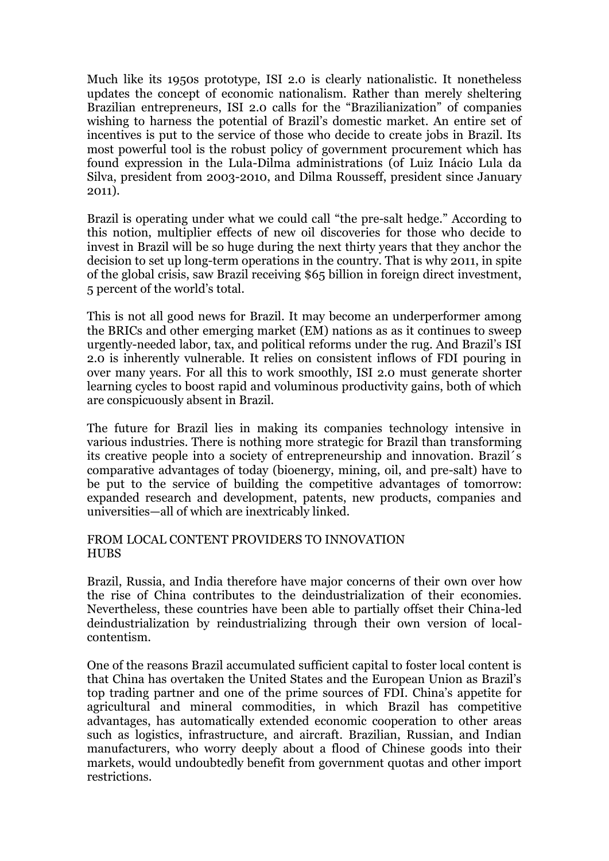Much like its 1950s prototype, ISI 2.0 is clearly nationalistic. It nonetheless updates the concept of economic nationalism. Rather than merely sheltering Brazilian entrepreneurs, ISI 2.0 calls for the "Brazilianization" of companies wishing to harness the potential of Brazil's domestic market. An entire set of incentives is put to the service of those who decide to create jobs in Brazil. Its most powerful tool is the robust policy of government procurement which has found expression in the Lula-Dilma administrations (of Luiz Inácio Lula da Silva, president from 2003-2010, and Dilma Rousseff, president since January 2011).

Brazil is operating under what we could call "the pre-salt hedge." According to this notion, multiplier effects of new oil discoveries for those who decide to invest in Brazil will be so huge during the next thirty years that they anchor the decision to set up long-term operations in the country. That is why 2011, in spite of the global crisis, saw Brazil receiving \$65 billion in foreign direct investment, 5 percent of the world's total.

This is not all good news for Brazil. It may become an underperformer among the BRICs and other emerging market (EM) nations as as it continues to sweep urgently-needed labor, tax, and political reforms under the rug. And Brazil's ISI 2.0 is inherently vulnerable. It relies on consistent inflows of FDI pouring in over many years. For all this to work smoothly, ISI 2.0 must generate shorter learning cycles to boost rapid and voluminous productivity gains, both of which are conspicuously absent in Brazil.

The future for Brazil lies in making its companies technology intensive in various industries. There is nothing more strategic for Brazil than transforming its creative people into a society of entrepreneurship and innovation. Brazil´s comparative advantages of today (bioenergy, mining, oil, and pre-salt) have to be put to the service of building the competitive advantages of tomorrow: expanded research and development, patents, new products, companies and universities—all of which are inextricably linked.

### FROM LOCAL CONTENT PROVIDERS TO INNOVATION **HUBS**

Brazil, Russia, and India therefore have major concerns of their own over how the rise of China contributes to the deindustrialization of their economies. Nevertheless, these countries have been able to partially offset their China-led deindustrialization by reindustrializing through their own version of localcontentism.

One of the reasons Brazil accumulated sufficient capital to foster local content is that China has overtaken the United States and the European Union as Brazil's top trading partner and one of the prime sources of FDI. China's appetite for agricultural and mineral commodities, in which Brazil has competitive advantages, has automatically extended economic cooperation to other areas such as logistics, infrastructure, and aircraft. Brazilian, Russian, and Indian manufacturers, who worry deeply about a flood of Chinese goods into their markets, would undoubtedly benefit from government quotas and other import restrictions.